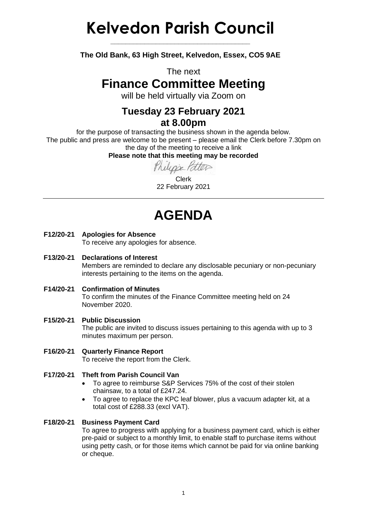# **Kelvedon Parish Council**

**The Old Bank, 63 High Street, Kelvedon, Essex, CO5 9AE**

**\_\_\_\_\_\_\_\_\_\_\_\_\_\_\_\_\_\_\_\_\_\_\_\_\_\_\_\_\_\_\_\_\_\_\_\_\_**

The next

### **Finance Committee Meeting**

will be held virtually via Zoom on

#### **Tuesday 23 February 2021 at 8.00pm**

for the purpose of transacting the business shown in the agenda below. The public and press are welcome to be present – please email the Clerk before 7.30pm on the day of the meeting to receive a link

**Please note that this meeting may be recorded**

Philippe Patter

Clerk 22 February 2021

## **AGENDA**

**F12/20-21 Apologies for Absence**

To receive any apologies for absence.

**F13/20-21 Declarations of Interest**

Members are reminded to declare any disclosable pecuniary or non-pecuniary interests pertaining to the items on the agenda.

- **F14/20-21 Confirmation of Minutes** To confirm the minutes of the Finance Committee meeting held on 24 November 2020.
- **F15/20-21 Public Discussion** The public are invited to discuss issues pertaining to this agenda with up to 3 minutes maximum per person.
- **F16/20-21 Quarterly Finance Report** To receive the report from the Clerk.
- **F17/20-21 Theft from Parish Council Van**
	- To agree to reimburse S&P Services 75% of the cost of their stolen chainsaw, to a total of £247.24.
	- To agree to replace the KPC leaf blower, plus a vacuum adapter kit, at a total cost of £288.33 (excl VAT).

#### **F18/20-21 Business Payment Card**

To agree to progress with applying for a business payment card, which is either pre-paid or subject to a monthly limit, to enable staff to purchase items without using petty cash, or for those items which cannot be paid for via online banking or cheque.